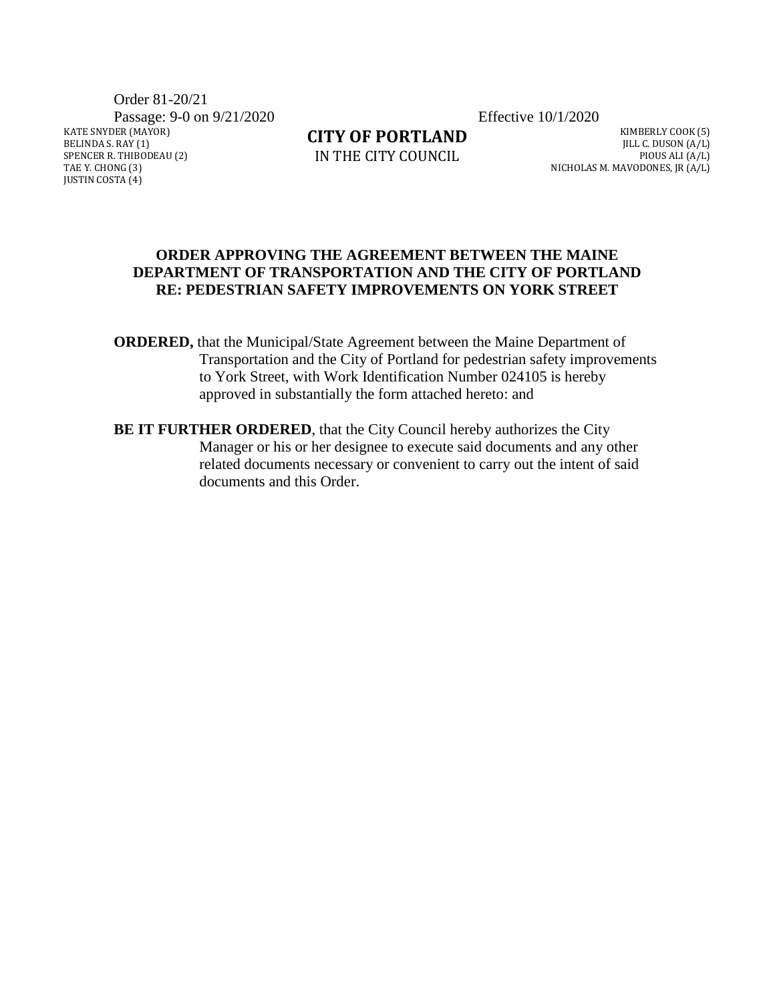Order 81-20/21

Passage: 9-0 on 9/21/2020 Effective 10/1/2020

KATE SNYDER (MAYOR) BELINDA S. RAY (1) SPENCER R. THIBODEAU (2) TAE Y. CHONG (3) JUSTIN COSTA (4)

**CITY OF PORTLAND**

IN THE CITY COUNCIL

KIMBERLY COOK (5) JILL C. DUSON (A/L) PIOUS ALI (A/L) NICHOLAS M. MAVODONES, JR (A/L)

#### **ORDER APPROVING THE AGREEMENT BETWEEN THE MAINE DEPARTMENT OF TRANSPORTATION AND THE CITY OF PORTLAND RE: PEDESTRIAN SAFETY IMPROVEMENTS ON YORK STREET**

- **ORDERED,** that the Municipal/State Agreement between the Maine Department of Transportation and the City of Portland for pedestrian safety improvements to York Street, with Work Identification Number 024105 is hereby approved in substantially the form attached hereto: and
- **BE IT FURTHER ORDERED**, that the City Council hereby authorizes the City Manager or his or her designee to execute said documents and any other related documents necessary or convenient to carry out the intent of said documents and this Order.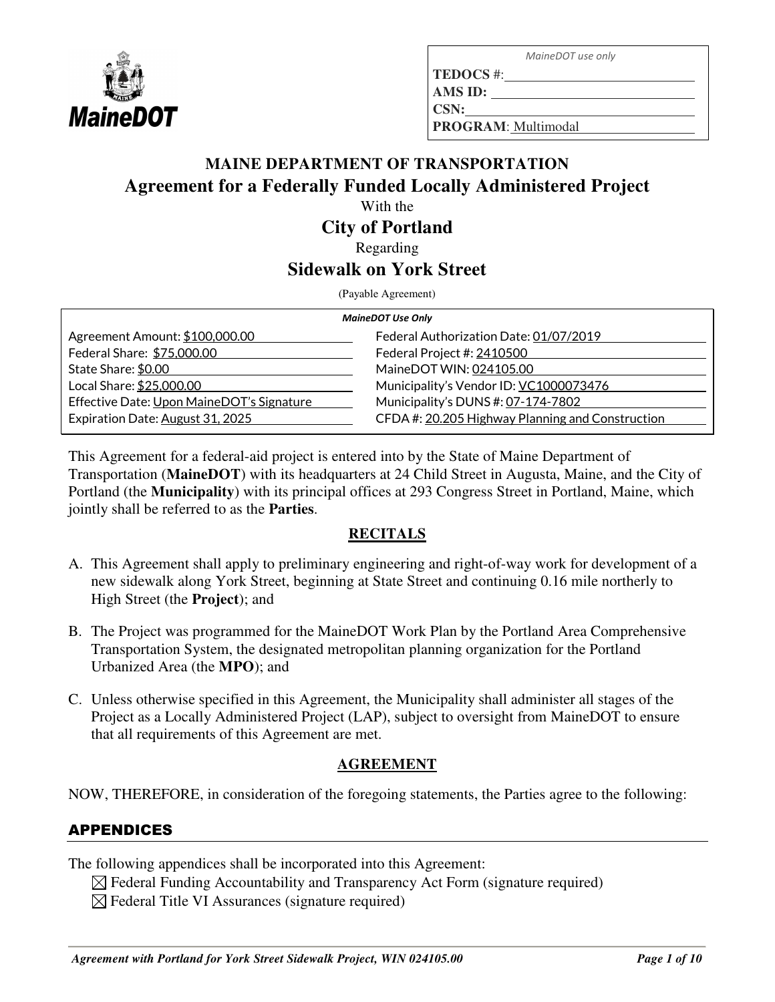

 *MaineDOT use only* 

**TEDOCS** #: **AMS ID:** 

**CSN:**

**PROGRAM**: Multimodal

# **MAINE DEPARTMENT OF TRANSPORTATION Agreement for a Federally Funded Locally Administered Project**

With the

#### **City of Portland**

Regarding

## **Sidewalk on York Street**

(Payable Agreement)

| <b>MaineDOT Use Only</b>                  |                                                  |  |  |  |
|-------------------------------------------|--------------------------------------------------|--|--|--|
| Agreement Amount: \$100,000.00            | Federal Authorization Date: 01/07/2019           |  |  |  |
| Federal Share: \$75,000.00                | Federal Project #: 2410500                       |  |  |  |
| State Share: \$0.00                       | MaineDOT WIN: 024105.00                          |  |  |  |
| Local Share: \$25,000.00                  | Municipality's Vendor ID: VC1000073476           |  |  |  |
| Effective Date: Upon MaineDOT's Signature | Municipality's DUNS #: 07-174-7802               |  |  |  |
| Expiration Date: August 31, 2025          | CFDA #: 20.205 Highway Planning and Construction |  |  |  |

This Agreement for a federal-aid project is entered into by the State of Maine Department of Transportation (**MaineDOT**) with its headquarters at 24 Child Street in Augusta, Maine, and the City of Portland (the **Municipality**) with its principal offices at 293 Congress Street in Portland, Maine, which jointly shall be referred to as the **Parties**.

#### **RECITALS**

- A. This Agreement shall apply to preliminary engineering and right-of-way work for development of a new sidewalk along York Street, beginning at State Street and continuing 0.16 mile northerly to High Street (the **Project**); and
- B. The Project was programmed for the MaineDOT Work Plan by the Portland Area Comprehensive Transportation System, the designated metropolitan planning organization for the Portland Urbanized Area (the **MPO**); and
- C. Unless otherwise specified in this Agreement, the Municipality shall administer all stages of the Project as a Locally Administered Project (LAP), subject to oversight from MaineDOT to ensure that all requirements of this Agreement are met.

#### **AGREEMENT**

NOW, THEREFORE, in consideration of the foregoing statements, the Parties agree to the following:

## APPENDICES

The following appendices shall be incorporated into this Agreement:

- $\boxtimes$  Federal Funding Accountability and Transparency Act Form (signature required)
- $\boxtimes$  Federal Title VI Assurances (signature required)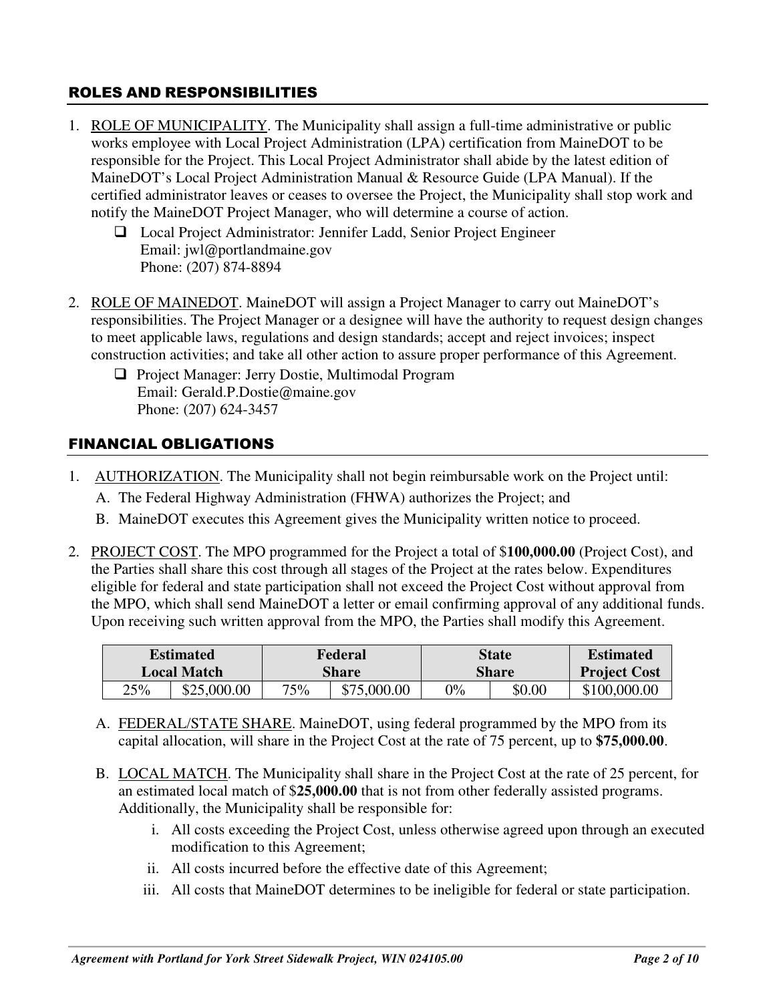#### ROLES AND RESPONSIBILITIES

- 1. ROLE OF MUNICIPALITY. The Municipality shall assign a full-time administrative or public works employee with Local Project Administration (LPA) certification from MaineDOT to be responsible for the Project. This Local Project Administrator shall abide by the latest edition of MaineDOT's Local Project Administration Manual & Resource Guide (LPA Manual). If the certified administrator leaves or ceases to oversee the Project, the Municipality shall stop work and notify the MaineDOT Project Manager, who will determine a course of action.
	- Local Project Administrator: Jennifer Ladd, Senior Project Engineer Email: jwl@portlandmaine.gov Phone: (207) 874-8894
- 2. ROLE OF MAINEDOT. MaineDOT will assign a Project Manager to carry out MaineDOT's responsibilities. The Project Manager or a designee will have the authority to request design changes to meet applicable laws, regulations and design standards; accept and reject invoices; inspect construction activities; and take all other action to assure proper performance of this Agreement.
	- □ Project Manager: Jerry Dostie, Multimodal Program Email: Gerald.P.Dostie@maine.gov Phone: (207) 624-3457

### FINANCIAL OBLIGATIONS

- 1. AUTHORIZATION. The Municipality shall not begin reimbursable work on the Project until:
	- A. The Federal Highway Administration (FHWA) authorizes the Project; and
	- B. MaineDOT executes this Agreement gives the Municipality written notice to proceed.
- 2. PROJECT COST. The MPO programmed for the Project a total of \$**100,000.00** (Project Cost), and the Parties shall share this cost through all stages of the Project at the rates below. Expenditures eligible for federal and state participation shall not exceed the Project Cost without approval from the MPO, which shall send MaineDOT a letter or email confirming approval of any additional funds. Upon receiving such written approval from the MPO, the Parties shall modify this Agreement.

| <b>Estimated</b>   |             | Federal |             | State        |        | <b>Estimated</b>    |
|--------------------|-------------|---------|-------------|--------------|--------|---------------------|
| <b>Local Match</b> |             | Share   |             | <b>Share</b> |        | <b>Project Cost</b> |
| 25%                | \$25,000.00 | 75%     | \$75,000.00 | $0\%$        | \$0.00 | \$100,000.00        |

- A. FEDERAL/STATE SHARE. MaineDOT, using federal programmed by the MPO from its capital allocation, will share in the Project Cost at the rate of 75 percent, up to **\$75,000.00**.
- B. LOCAL MATCH. The Municipality shall share in the Project Cost at the rate of 25 percent, for an estimated local match of \$**25,000.00** that is not from other federally assisted programs. Additionally, the Municipality shall be responsible for:
	- i. All costs exceeding the Project Cost, unless otherwise agreed upon through an executed modification to this Agreement;
	- ii. All costs incurred before the effective date of this Agreement;
	- iii. All costs that MaineDOT determines to be ineligible for federal or state participation.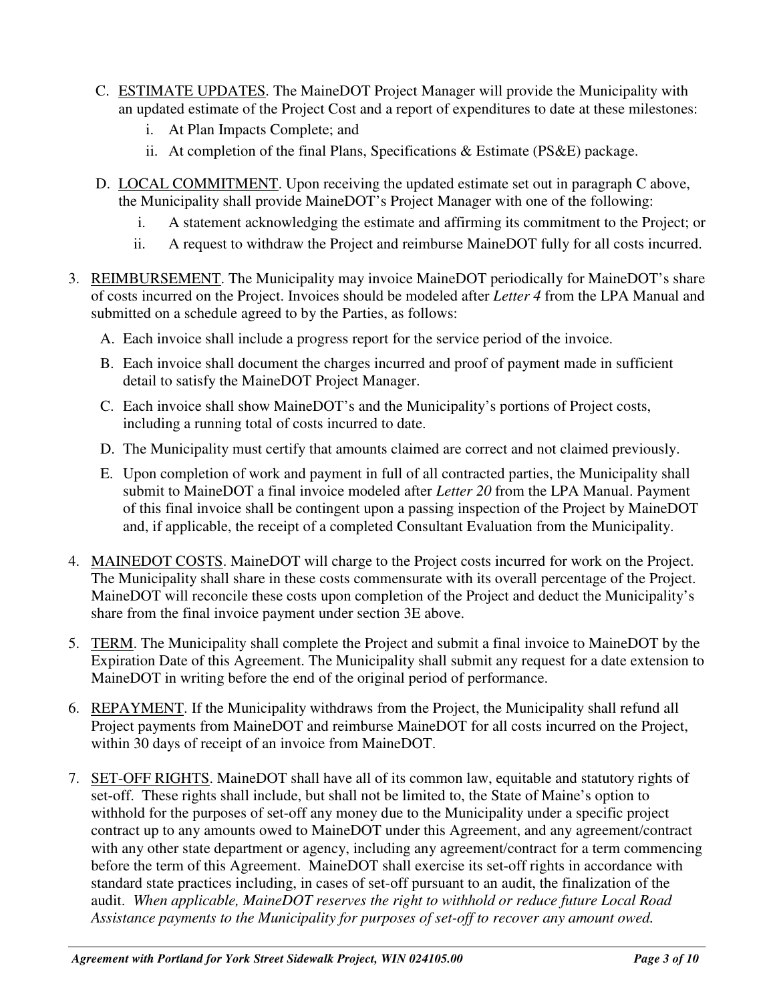- C. ESTIMATE UPDATES. The MaineDOT Project Manager will provide the Municipality with an updated estimate of the Project Cost and a report of expenditures to date at these milestones:
	- i. At Plan Impacts Complete; and
	- ii. At completion of the final Plans, Specifications & Estimate (PS&E) package.
- D. LOCAL COMMITMENT. Upon receiving the updated estimate set out in paragraph C above, the Municipality shall provide MaineDOT's Project Manager with one of the following:
	- i. A statement acknowledging the estimate and affirming its commitment to the Project; or
	- ii. A request to withdraw the Project and reimburse MaineDOT fully for all costs incurred.
- 3. REIMBURSEMENT. The Municipality may invoice MaineDOT periodically for MaineDOT's share of costs incurred on the Project. Invoices should be modeled after *Letter 4* from the LPA Manual and submitted on a schedule agreed to by the Parties, as follows:
	- A. Each invoice shall include a progress report for the service period of the invoice.
	- B. Each invoice shall document the charges incurred and proof of payment made in sufficient detail to satisfy the MaineDOT Project Manager.
	- C. Each invoice shall show MaineDOT's and the Municipality's portions of Project costs, including a running total of costs incurred to date.
	- D. The Municipality must certify that amounts claimed are correct and not claimed previously.
	- E. Upon completion of work and payment in full of all contracted parties, the Municipality shall submit to MaineDOT a final invoice modeled after *Letter 20* from the LPA Manual. Payment of this final invoice shall be contingent upon a passing inspection of the Project by MaineDOT and, if applicable, the receipt of a completed Consultant Evaluation from the Municipality.
- 4. MAINEDOT COSTS. MaineDOT will charge to the Project costs incurred for work on the Project. The Municipality shall share in these costs commensurate with its overall percentage of the Project. MaineDOT will reconcile these costs upon completion of the Project and deduct the Municipality's share from the final invoice payment under section 3E above.
- 5. TERM. The Municipality shall complete the Project and submit a final invoice to MaineDOT by the Expiration Date of this Agreement. The Municipality shall submit any request for a date extension to MaineDOT in writing before the end of the original period of performance.
- 6. REPAYMENT. If the Municipality withdraws from the Project, the Municipality shall refund all Project payments from MaineDOT and reimburse MaineDOT for all costs incurred on the Project, within 30 days of receipt of an invoice from MaineDOT.
- 7. SET-OFF RIGHTS. MaineDOT shall have all of its common law, equitable and statutory rights of set-off. These rights shall include, but shall not be limited to, the State of Maine's option to withhold for the purposes of set-off any money due to the Municipality under a specific project contract up to any amounts owed to MaineDOT under this Agreement, and any agreement/contract with any other state department or agency, including any agreement/contract for a term commencing before the term of this Agreement. MaineDOT shall exercise its set-off rights in accordance with standard state practices including, in cases of set-off pursuant to an audit, the finalization of the audit. *When applicable, MaineDOT reserves the right to withhold or reduce future Local Road Assistance payments to the Municipality for purposes of set-off to recover any amount owed.*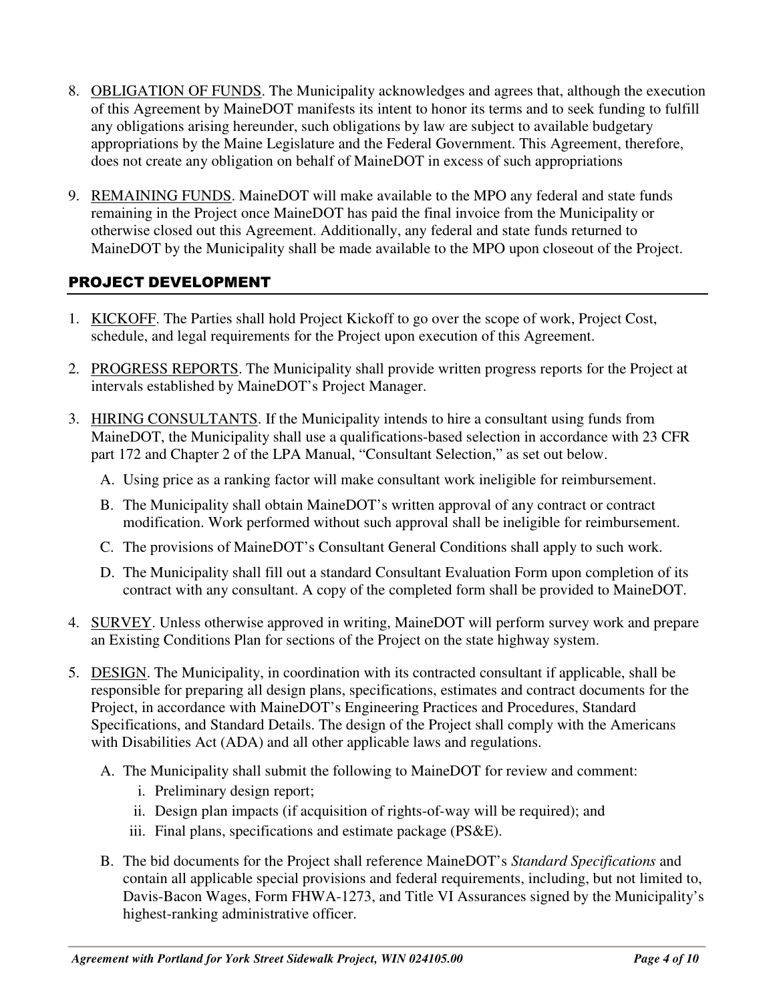- 8. OBLIGATION OF FUNDS. The Municipality acknowledges and agrees that, although the execution of this Agreement by MaineDOT manifests its intent to honor its terms and to seek funding to fulfill any obligations arising hereunder, such obligations by law are subject to available budgetary appropriations by the Maine Legislature and the Federal Government. This Agreement, therefore, does not create any obligation on behalf of MaineDOT in excess of such appropriations
- 9. REMAINING FUNDS. MaineDOT will make available to the MPO any federal and state funds remaining in the Project once MaineDOT has paid the final invoice from the Municipality or otherwise closed out this Agreement. Additionally, any federal and state funds returned to MaineDOT by the Municipality shall be made available to the MPO upon closeout of the Project.

### PROJECT DEVELOPMENT

- 1. KICKOFF. The Parties shall hold Project Kickoff to go over the scope of work, Project Cost, schedule, and legal requirements for the Project upon execution of this Agreement.
- 2. PROGRESS REPORTS. The Municipality shall provide written progress reports for the Project at intervals established by MaineDOT's Project Manager.
- 3. HIRING CONSULTANTS. If the Municipality intends to hire a consultant using funds from MaineDOT, the Municipality shall use a qualifications-based selection in accordance with 23 CFR part 172 and Chapter 2 of the LPA Manual, "Consultant Selection," as set out below.
	- A. Using price as a ranking factor will make consultant work ineligible for reimbursement.
	- B. The Municipality shall obtain MaineDOT's written approval of any contract or contract modification. Work performed without such approval shall be ineligible for reimbursement.
	- C. The provisions of MaineDOT's Consultant General Conditions shall apply to such work.
	- D. The Municipality shall fill out a standard Consultant Evaluation Form upon completion of its contract with any consultant. A copy of the completed form shall be provided to MaineDOT.
- 4. SURVEY. Unless otherwise approved in writing, MaineDOT will perform survey work and prepare an Existing Conditions Plan for sections of the Project on the state highway system.
- 5. DESIGN. The Municipality, in coordination with its contracted consultant if applicable, shall be responsible for preparing all design plans, specifications, estimates and contract documents for the Project, in accordance with MaineDOT's Engineering Practices and Procedures, Standard Specifications, and Standard Details. The design of the Project shall comply with the Americans with Disabilities Act (ADA) and all other applicable laws and regulations.
	- A. The Municipality shall submit the following to MaineDOT for review and comment:
		- i. Preliminary design report;
		- ii. Design plan impacts (if acquisition of rights-of-way will be required); and
		- iii. Final plans, specifications and estimate package (PS&E).
	- B. The bid documents for the Project shall reference MaineDOT's *Standard Specifications* and contain all applicable special provisions and federal requirements, including, but not limited to, Davis-Bacon Wages, Form FHWA-1273, and Title VI Assurances signed by the Municipality's highest-ranking administrative officer.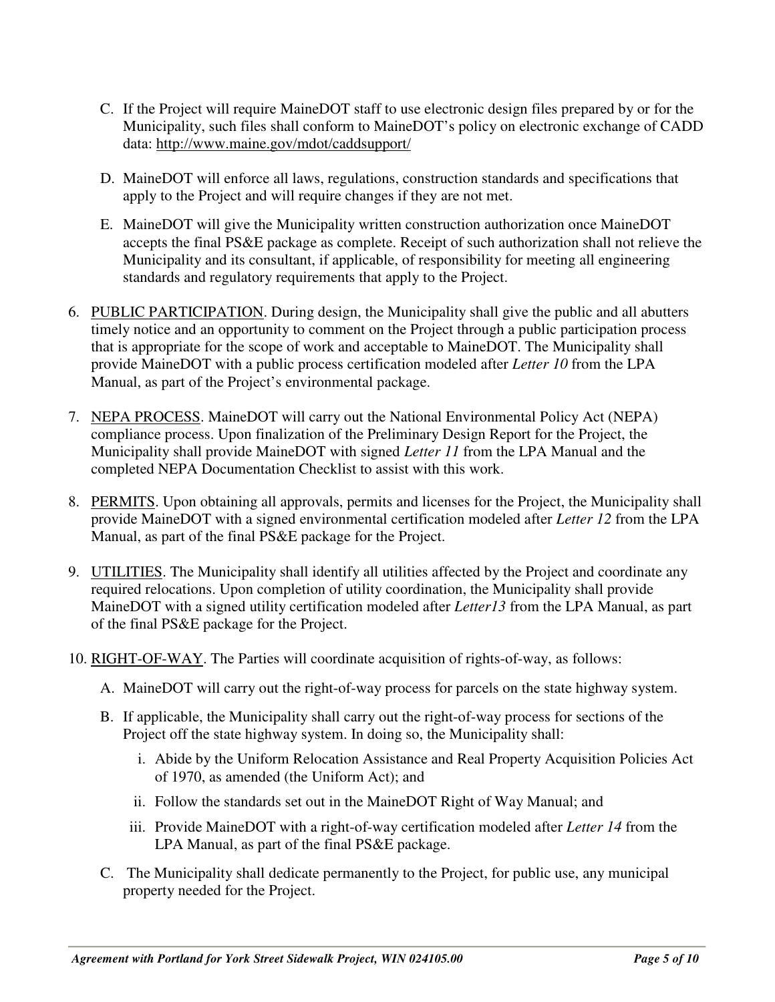- C. If the Project will require MaineDOT staff to use electronic design files prepared by or for the Municipality, such files shall conform to MaineDOT's policy on electronic exchange of CADD data: http://www.maine.gov/mdot/caddsupport/
- D. MaineDOT will enforce all laws, regulations, construction standards and specifications that apply to the Project and will require changes if they are not met.
- E. MaineDOT will give the Municipality written construction authorization once MaineDOT accepts the final PS&E package as complete. Receipt of such authorization shall not relieve the Municipality and its consultant, if applicable, of responsibility for meeting all engineering standards and regulatory requirements that apply to the Project.
- 6. PUBLIC PARTICIPATION. During design, the Municipality shall give the public and all abutters timely notice and an opportunity to comment on the Project through a public participation process that is appropriate for the scope of work and acceptable to MaineDOT. The Municipality shall provide MaineDOT with a public process certification modeled after *Letter 10* from the LPA Manual, as part of the Project's environmental package.
- 7. NEPA PROCESS. MaineDOT will carry out the National Environmental Policy Act (NEPA) compliance process. Upon finalization of the Preliminary Design Report for the Project, the Municipality shall provide MaineDOT with signed *Letter 11* from the LPA Manual and the completed NEPA Documentation Checklist to assist with this work.
- 8. PERMITS. Upon obtaining all approvals, permits and licenses for the Project, the Municipality shall provide MaineDOT with a signed environmental certification modeled after *Letter 12* from the LPA Manual, as part of the final PS&E package for the Project.
- 9. UTILITIES. The Municipality shall identify all utilities affected by the Project and coordinate any required relocations. Upon completion of utility coordination, the Municipality shall provide MaineDOT with a signed utility certification modeled after *Letter13* from the LPA Manual, as part of the final PS&E package for the Project.
- 10. RIGHT-OF-WAY. The Parties will coordinate acquisition of rights-of-way, as follows:
	- A. MaineDOT will carry out the right-of-way process for parcels on the state highway system.
	- B. If applicable, the Municipality shall carry out the right-of-way process for sections of the Project off the state highway system. In doing so, the Municipality shall:
		- i. Abide by the Uniform Relocation Assistance and Real Property Acquisition Policies Act of 1970, as amended (the Uniform Act); and
		- ii. Follow the standards set out in the MaineDOT Right of Way Manual; and
		- iii. Provide MaineDOT with a right-of-way certification modeled after *Letter 14* from the LPA Manual, as part of the final PS&E package.
	- C. The Municipality shall dedicate permanently to the Project, for public use, any municipal property needed for the Project.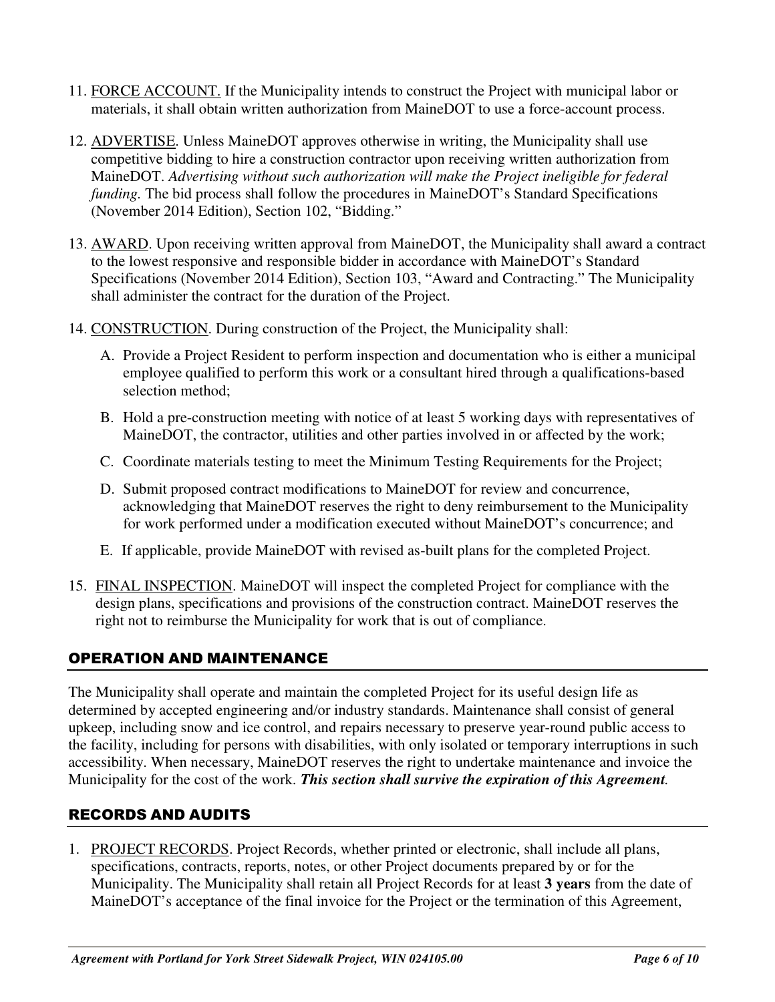- 11. FORCE ACCOUNT. If the Municipality intends to construct the Project with municipal labor or materials, it shall obtain written authorization from MaineDOT to use a force-account process.
- 12. ADVERTISE. Unless MaineDOT approves otherwise in writing, the Municipality shall use competitive bidding to hire a construction contractor upon receiving written authorization from MaineDOT. *Advertising without such authorization will make the Project ineligible for federal funding.* The bid process shall follow the procedures in MaineDOT's Standard Specifications (November 2014 Edition), Section 102, "Bidding."
- 13. AWARD. Upon receiving written approval from MaineDOT, the Municipality shall award a contract to the lowest responsive and responsible bidder in accordance with MaineDOT's Standard Specifications (November 2014 Edition), Section 103, "Award and Contracting." The Municipality shall administer the contract for the duration of the Project.
- 14. CONSTRUCTION. During construction of the Project, the Municipality shall:
	- A. Provide a Project Resident to perform inspection and documentation who is either a municipal employee qualified to perform this work or a consultant hired through a qualifications-based selection method;
	- B. Hold a pre-construction meeting with notice of at least 5 working days with representatives of MaineDOT, the contractor, utilities and other parties involved in or affected by the work;
	- C. Coordinate materials testing to meet the Minimum Testing Requirements for the Project;
	- D. Submit proposed contract modifications to MaineDOT for review and concurrence, acknowledging that MaineDOT reserves the right to deny reimbursement to the Municipality for work performed under a modification executed without MaineDOT's concurrence; and
	- E. If applicable, provide MaineDOT with revised as-built plans for the completed Project.
- 15. FINAL INSPECTION. MaineDOT will inspect the completed Project for compliance with the design plans, specifications and provisions of the construction contract. MaineDOT reserves the right not to reimburse the Municipality for work that is out of compliance.

#### OPERATION AND MAINTENANCE

The Municipality shall operate and maintain the completed Project for its useful design life as determined by accepted engineering and/or industry standards. Maintenance shall consist of general upkeep, including snow and ice control, and repairs necessary to preserve year-round public access to the facility, including for persons with disabilities, with only isolated or temporary interruptions in such accessibility. When necessary, MaineDOT reserves the right to undertake maintenance and invoice the Municipality for the cost of the work. *This section shall survive the expiration of this Agreement.* 

#### RECORDS AND AUDITS

1. PROJECT RECORDS. Project Records, whether printed or electronic, shall include all plans, specifications, contracts, reports, notes, or other Project documents prepared by or for the Municipality. The Municipality shall retain all Project Records for at least **3 years** from the date of MaineDOT's acceptance of the final invoice for the Project or the termination of this Agreement,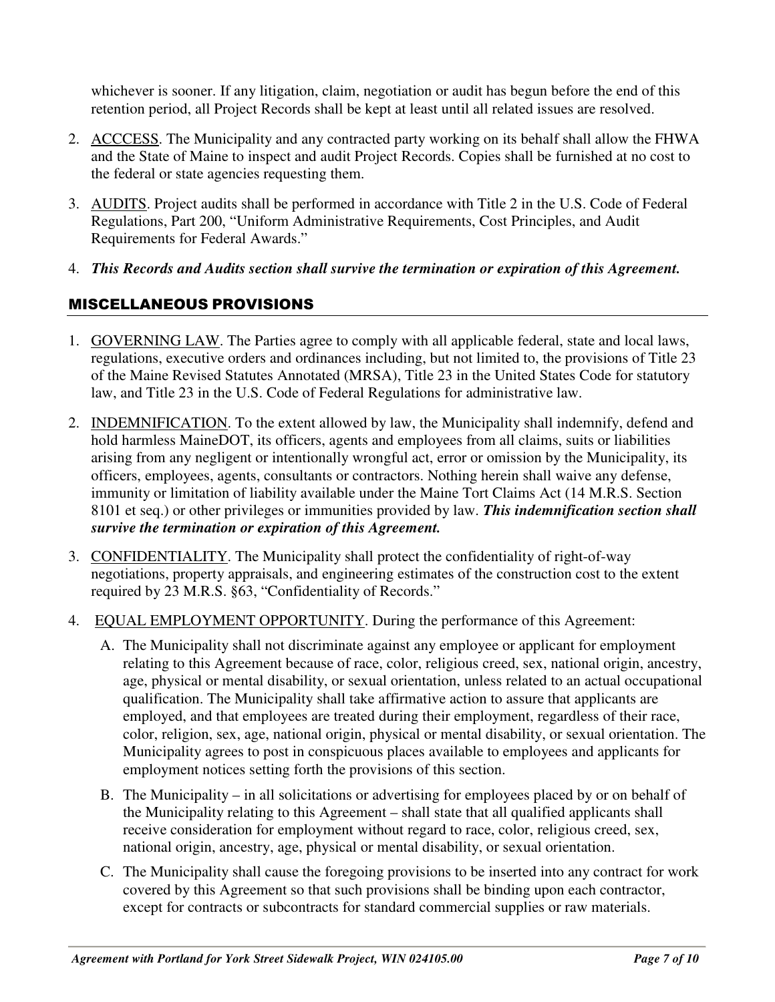whichever is sooner. If any litigation, claim, negotiation or audit has begun before the end of this retention period, all Project Records shall be kept at least until all related issues are resolved.

- 2. ACCCESS. The Municipality and any contracted party working on its behalf shall allow the FHWA and the State of Maine to inspect and audit Project Records. Copies shall be furnished at no cost to the federal or state agencies requesting them.
- 3. AUDITS. Project audits shall be performed in accordance with Title 2 in the U.S. Code of Federal Regulations, Part 200, "Uniform Administrative Requirements, Cost Principles, and Audit Requirements for Federal Awards."
- 4. *This Records and Audits section shall survive the termination or expiration of this Agreement.*

## MISCELLANEOUS PROVISIONS

- 1. GOVERNING LAW. The Parties agree to comply with all applicable federal, state and local laws, regulations, executive orders and ordinances including, but not limited to, the provisions of Title 23 of the Maine Revised Statutes Annotated (MRSA), Title 23 in the United States Code for statutory law, and Title 23 in the U.S. Code of Federal Regulations for administrative law.
- 2. INDEMNIFICATION. To the extent allowed by law, the Municipality shall indemnify, defend and hold harmless MaineDOT, its officers, agents and employees from all claims, suits or liabilities arising from any negligent or intentionally wrongful act, error or omission by the Municipality, its officers, employees, agents, consultants or contractors. Nothing herein shall waive any defense, immunity or limitation of liability available under the Maine Tort Claims Act (14 M.R.S. Section 8101 et seq.) or other privileges or immunities provided by law. *This indemnification section shall survive the termination or expiration of this Agreement.*
- 3. CONFIDENTIALITY. The Municipality shall protect the confidentiality of right-of-way negotiations, property appraisals, and engineering estimates of the construction cost to the extent required by 23 M.R.S. §63, "Confidentiality of Records."
- 4. EQUAL EMPLOYMENT OPPORTUNITY. During the performance of this Agreement:
	- A. The Municipality shall not discriminate against any employee or applicant for employment relating to this Agreement because of race, color, religious creed, sex, national origin, ancestry, age, physical or mental disability, or sexual orientation, unless related to an actual occupational qualification. The Municipality shall take affirmative action to assure that applicants are employed, and that employees are treated during their employment, regardless of their race, color, religion, sex, age, national origin, physical or mental disability, or sexual orientation. The Municipality agrees to post in conspicuous places available to employees and applicants for employment notices setting forth the provisions of this section.
	- B. The Municipality in all solicitations or advertising for employees placed by or on behalf of the Municipality relating to this Agreement – shall state that all qualified applicants shall receive consideration for employment without regard to race, color, religious creed, sex, national origin, ancestry, age, physical or mental disability, or sexual orientation.
	- C. The Municipality shall cause the foregoing provisions to be inserted into any contract for work covered by this Agreement so that such provisions shall be binding upon each contractor, except for contracts or subcontracts for standard commercial supplies or raw materials.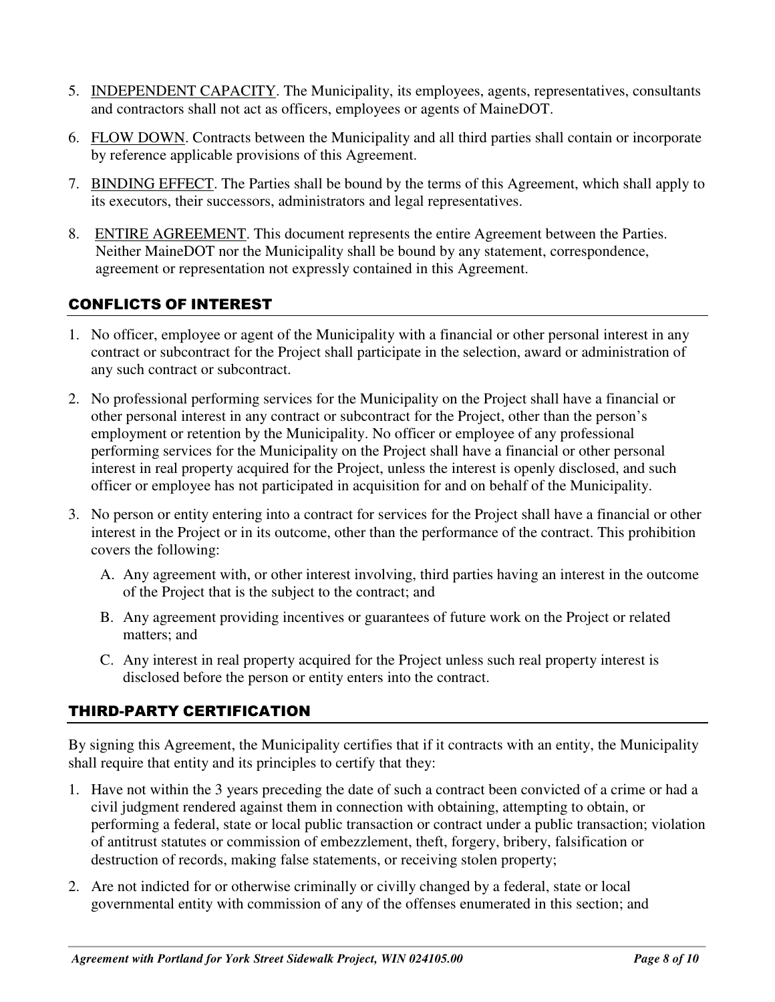- 5. INDEPENDENT CAPACITY. The Municipality, its employees, agents, representatives, consultants and contractors shall not act as officers, employees or agents of MaineDOT.
- 6. FLOW DOWN. Contracts between the Municipality and all third parties shall contain or incorporate by reference applicable provisions of this Agreement.
- 7. BINDING EFFECT. The Parties shall be bound by the terms of this Agreement, which shall apply to its executors, their successors, administrators and legal representatives.
- 8. ENTIRE AGREEMENT. This document represents the entire Agreement between the Parties. Neither MaineDOT nor the Municipality shall be bound by any statement, correspondence, agreement or representation not expressly contained in this Agreement.

## CONFLICTS OF INTEREST

- 1. No officer, employee or agent of the Municipality with a financial or other personal interest in any contract or subcontract for the Project shall participate in the selection, award or administration of any such contract or subcontract.
- 2. No professional performing services for the Municipality on the Project shall have a financial or other personal interest in any contract or subcontract for the Project, other than the person's employment or retention by the Municipality. No officer or employee of any professional performing services for the Municipality on the Project shall have a financial or other personal interest in real property acquired for the Project, unless the interest is openly disclosed, and such officer or employee has not participated in acquisition for and on behalf of the Municipality.
- 3. No person or entity entering into a contract for services for the Project shall have a financial or other interest in the Project or in its outcome, other than the performance of the contract. This prohibition covers the following:
	- A. Any agreement with, or other interest involving, third parties having an interest in the outcome of the Project that is the subject to the contract; and
	- B. Any agreement providing incentives or guarantees of future work on the Project or related matters; and
	- C. Any interest in real property acquired for the Project unless such real property interest is disclosed before the person or entity enters into the contract.

## THIRD-PARTY CERTIFICATION

By signing this Agreement, the Municipality certifies that if it contracts with an entity, the Municipality shall require that entity and its principles to certify that they:

- 1. Have not within the 3 years preceding the date of such a contract been convicted of a crime or had a civil judgment rendered against them in connection with obtaining, attempting to obtain, or performing a federal, state or local public transaction or contract under a public transaction; violation of antitrust statutes or commission of embezzlement, theft, forgery, bribery, falsification or destruction of records, making false statements, or receiving stolen property;
- 2. Are not indicted for or otherwise criminally or civilly changed by a federal, state or local governmental entity with commission of any of the offenses enumerated in this section; and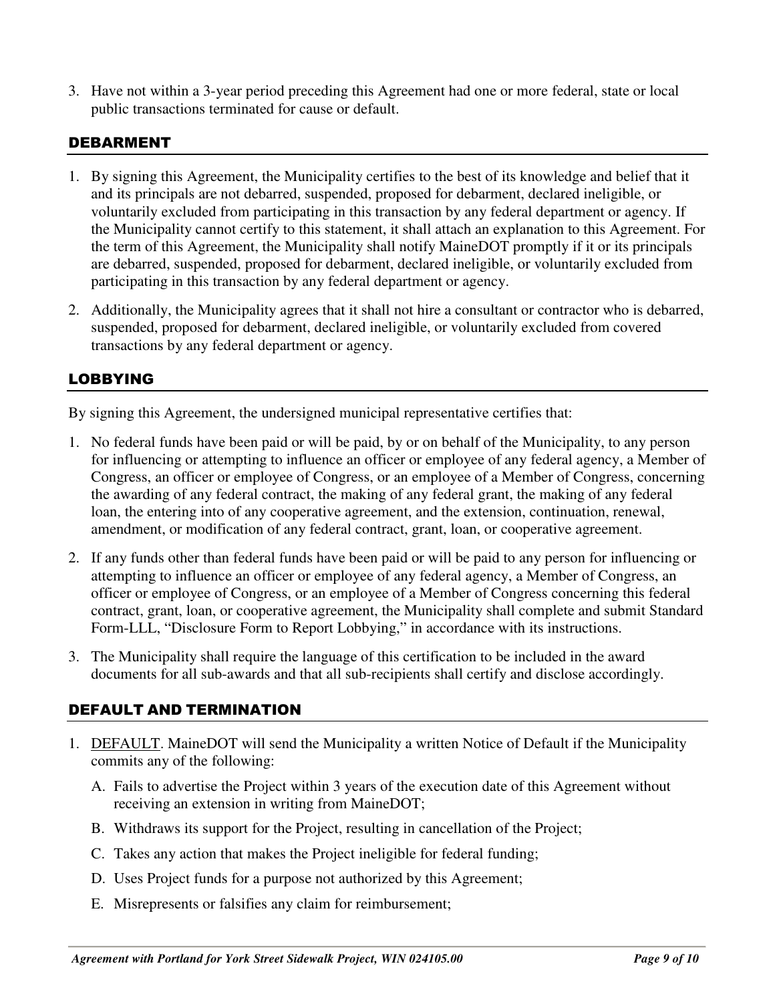3. Have not within a 3-year period preceding this Agreement had one or more federal, state or local public transactions terminated for cause or default.

#### DEBARMENT

- 1. By signing this Agreement, the Municipality certifies to the best of its knowledge and belief that it and its principals are not debarred, suspended, proposed for debarment, declared ineligible, or voluntarily excluded from participating in this transaction by any federal department or agency. If the Municipality cannot certify to this statement, it shall attach an explanation to this Agreement. For the term of this Agreement, the Municipality shall notify MaineDOT promptly if it or its principals are debarred, suspended, proposed for debarment, declared ineligible, or voluntarily excluded from participating in this transaction by any federal department or agency.
- 2. Additionally, the Municipality agrees that it shall not hire a consultant or contractor who is debarred, suspended, proposed for debarment, declared ineligible, or voluntarily excluded from covered transactions by any federal department or agency.

#### LOBBYING

By signing this Agreement, the undersigned municipal representative certifies that:

- 1. No federal funds have been paid or will be paid, by or on behalf of the Municipality, to any person for influencing or attempting to influence an officer or employee of any federal agency, a Member of Congress, an officer or employee of Congress, or an employee of a Member of Congress, concerning the awarding of any federal contract, the making of any federal grant, the making of any federal loan, the entering into of any cooperative agreement, and the extension, continuation, renewal, amendment, or modification of any federal contract, grant, loan, or cooperative agreement.
- 2. If any funds other than federal funds have been paid or will be paid to any person for influencing or attempting to influence an officer or employee of any federal agency, a Member of Congress, an officer or employee of Congress, or an employee of a Member of Congress concerning this federal contract, grant, loan, or cooperative agreement, the Municipality shall complete and submit Standard Form-LLL, "Disclosure Form to Report Lobbying," in accordance with its instructions.
- 3. The Municipality shall require the language of this certification to be included in the award documents for all sub-awards and that all sub-recipients shall certify and disclose accordingly.

## DEFAULT AND TERMINATION

- 1. DEFAULT. MaineDOT will send the Municipality a written Notice of Default if the Municipality commits any of the following:
	- A. Fails to advertise the Project within 3 years of the execution date of this Agreement without receiving an extension in writing from MaineDOT;
	- B. Withdraws its support for the Project, resulting in cancellation of the Project;
	- C. Takes any action that makes the Project ineligible for federal funding;
	- D. Uses Project funds for a purpose not authorized by this Agreement;
	- E. Misrepresents or falsifies any claim for reimbursement;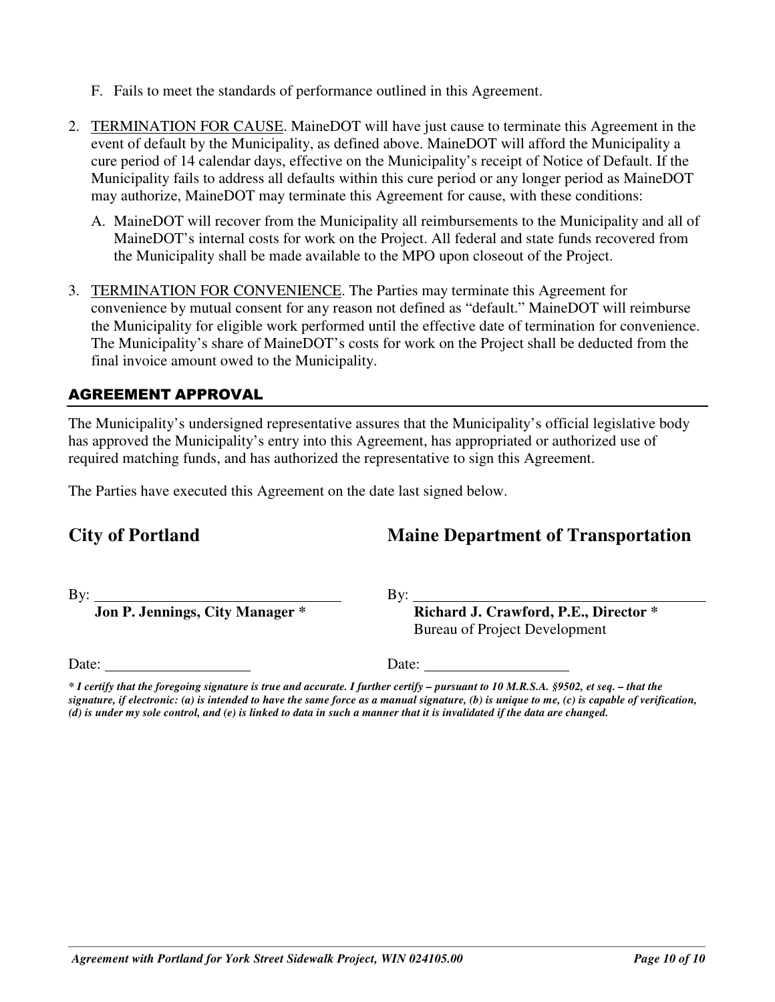- - *Agreement with Portland for York Street Sidewalk Project, WIN 024105.00 Page 10 of 10*
- 
- F. Fails to meet the standards of performance outlined in this Agreement.
- 2. TERMINATION FOR CAUSE. MaineDOT will have just cause to terminate this Agreement in the event of default by the Municipality, as defined above. MaineDOT will afford the Municipality a cure period of 14 calendar days, effective on the Municipality's receipt of Notice of Default. If the Municipality fails to address all defaults within this cure period or any longer period as MaineDOT may authorize, MaineDOT may terminate this Agreement for cause, with these conditions:
	- A. MaineDOT will recover from the Municipality all reimbursements to the Municipality and all of MaineDOT's internal costs for work on the Project. All federal and state funds recovered from the Municipality shall be made available to the MPO upon closeout of the Project.
- 3. TERMINATION FOR CONVENIENCE. The Parties may terminate this Agreement for convenience by mutual consent for any reason not defined as "default." MaineDOT will reimburse the Municipality for eligible work performed until the effective date of termination for convenience. The Municipality's share of MaineDOT's costs for work on the Project shall be deducted from the final invoice amount owed to the Municipality.

## AGREEMENT APPROVAL

The Municipality's undersigned representative assures that the Municipality's official legislative body has approved the Municipality's entry into this Agreement, has appropriated or authorized use of required matching funds, and has authorized the representative to sign this Agreement.

The Parties have executed this Agreement on the date last signed below.

# **City of Portland Maine Department of Transportation**

Date: Date: Date:

By: By:

 **Jon P. Jennings, City Manager \* Richard J. Crawford, P.E., Director \***  Bureau of Project Development

*<sup>\*</sup> I certify that the foregoing signature is true and accurate. I further certify – pursuant to 10 M.R.S.A. §9502, et seq. – that the signature, if electronic: (a) is intended to have the same force as a manual signature, (b) is unique to me, (c) is capable of verification, (d) is under my sole control, and (e) is linked to data in such a manner that it is invalidated if the data are changed.*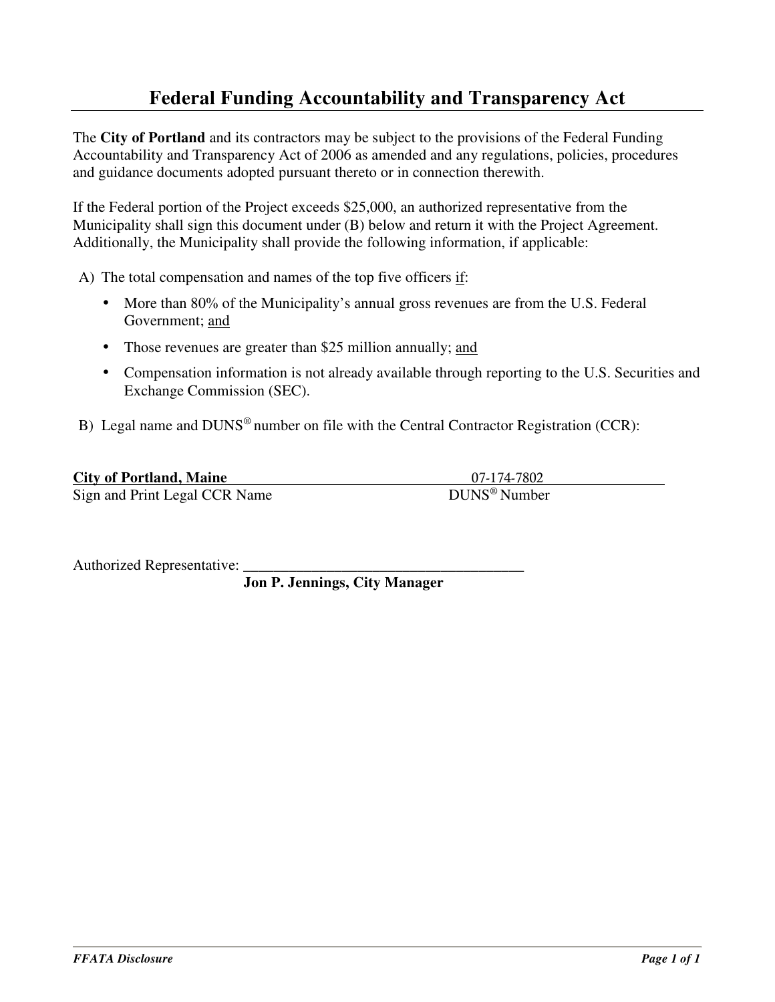# **Federal Funding Accountability and Transparency Act**

The **City of Portland** and its contractors may be subject to the provisions of the Federal Funding Accountability and Transparency Act of 2006 as amended and any regulations, policies, procedures and guidance documents adopted pursuant thereto or in connection therewith.

If the Federal portion of the Project exceeds \$25,000, an authorized representative from the Municipality shall sign this document under (B) below and return it with the Project Agreement. Additionally, the Municipality shall provide the following information, if applicable:

A) The total compensation and names of the top five officers if:

- More than 80% of the Municipality's annual gross revenues are from the U.S. Federal Government; and
- Those revenues are greater than \$25 million annually; and
- Compensation information is not already available through reporting to the U.S. Securities and Exchange Commission (SEC).
- B) Legal name and DUNS<sup>®</sup> number on file with the Central Contractor Registration (CCR):

| <b>City of Portland, Maine</b> | 07-174-7802              |
|--------------------------------|--------------------------|
| Sign and Print Legal CCR Name  | DUNS <sup>®</sup> Number |

Authorized Representative:

 **Jon P. Jennings, City Manager**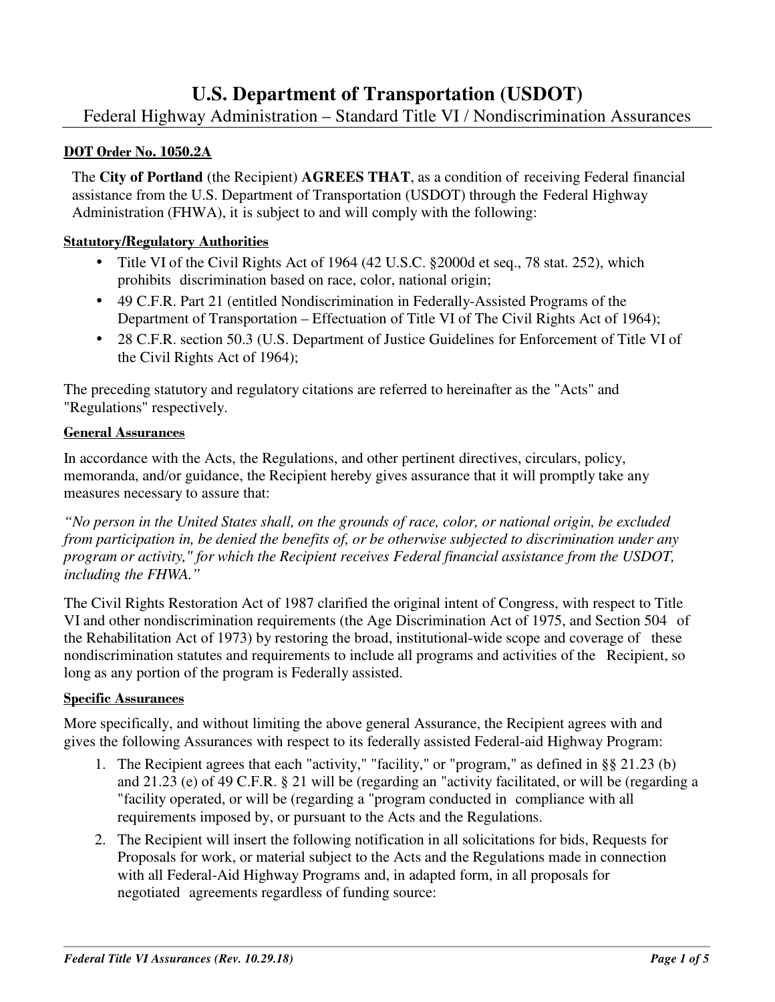# **U.S. Department of Transportation (USDOT)**

## Federal Highway Administration – Standard Title VI / Nondiscrimination Assurances

#### **DOT Order No. 1050.2A**

The **City of Portland** (the Recipient) **AGREES THAT**, as a condition of receiving Federal financial assistance from the U.S. Department of Transportation (USDOT) through the Federal Highway Administration (FHWA), it is subject to and will comply with the following:

#### **Statutory/Regulatory Authorities**

- Title VI of the Civil Rights Act of 1964 (42 U.S.C. §2000d et seq., 78 stat. 252), which prohibits discrimination based on race, color, national origin;
- 49 C.F.R. Part 21 (entitled Nondiscrimination in Federally-Assisted Programs of the Department of Transportation – Effectuation of Title VI of The Civil Rights Act of 1964);
- 28 C.F.R. section 50.3 (U.S. Department of Justice Guidelines for Enforcement of Title VI of the Civil Rights Act of 1964);

The preceding statutory and regulatory citations are referred to hereinafter as the "Acts" and "Regulations" respectively.

#### **General Assurances**

In accordance with the Acts, the Regulations, and other pertinent directives, circulars, policy, memoranda, and/or guidance, the Recipient hereby gives assurance that it will promptly take any measures necessary to assure that:

*"No person in the United States shall, on the grounds of race, color, or national origin, be excluded from participation in, be denied the benefits of, or be otherwise subjected to discrimination under any program or activity," for which the Recipient receives Federal financial assistance from the USDOT, including the FHWA."* 

The Civil Rights Restoration Act of 1987 clarified the original intent of Congress, with respect to Title VI and other nondiscrimination requirements (the Age Discrimination Act of 1975, and Section 504 of the Rehabilitation Act of 1973) by restoring the broad, institutional-wide scope and coverage of these nondiscrimination statutes and requirements to include all programs and activities of the Recipient, so long as any portion of the program is Federally assisted.

#### **Specific Assurances**

More specifically, and without limiting the above general Assurance, the Recipient agrees with and gives the following Assurances with respect to its federally assisted Federal-aid Highway Program:

- 1. The Recipient agrees that each "activity," "facility," or "program," as defined in §§ 21.23 (b) and 21.23 (e) of 49 C.F.R. § 21 will be (regarding an "activity facilitated, or will be (regarding a "facility operated, or will be (regarding a "program conducted in compliance with all requirements imposed by, or pursuant to the Acts and the Regulations.
- 2. The Recipient will insert the following notification in all solicitations for bids, Requests for Proposals for work, or material subject to the Acts and the Regulations made in connection with all Federal-Aid Highway Programs and, in adapted form, in all proposals for negotiated agreements regardless of funding source: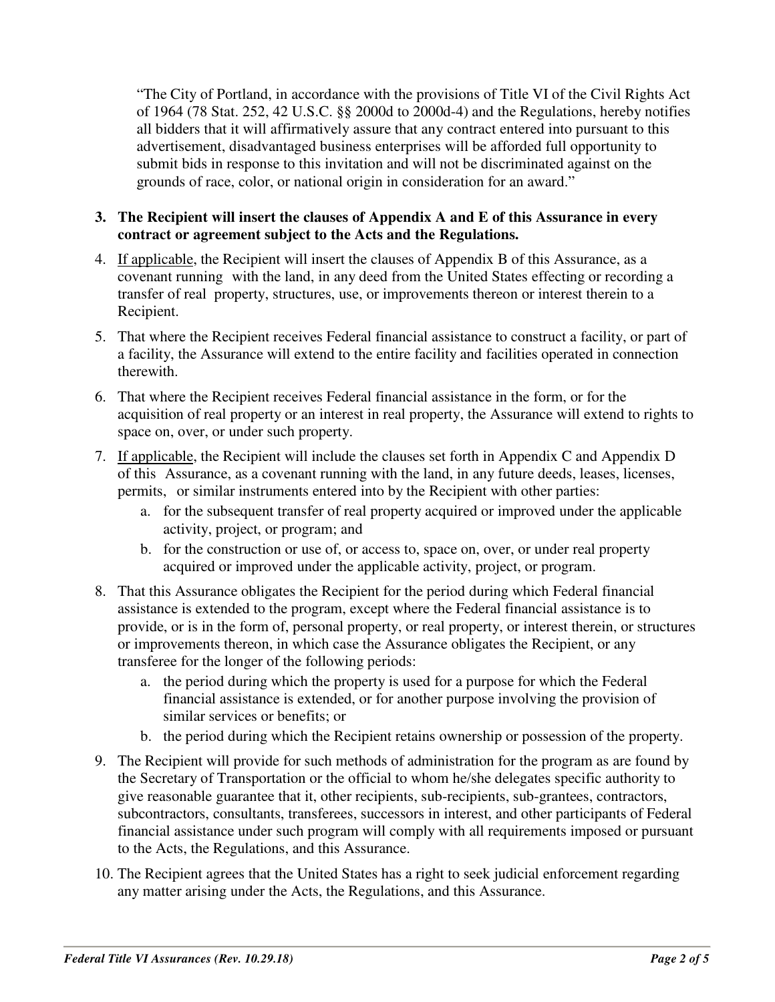"The City of Portland, in accordance with the provisions of Title VI of the Civil Rights Act of 1964 (78 Stat. 252, 42 U.S.C. §§ 2000d to 2000d-4) and the Regulations, hereby notifies all bidders that it will affirmatively assure that any contract entered into pursuant to this advertisement, disadvantaged business enterprises will be afforded full opportunity to submit bids in response to this invitation and will not be discriminated against on the grounds of race, color, or national origin in consideration for an award."

#### **3. The Recipient will insert the clauses of Appendix A and E of this Assurance in every contract or agreement subject to the Acts and the Regulations.**

- 4. If applicable, the Recipient will insert the clauses of Appendix B of this Assurance, as a covenant running with the land, in any deed from the United States effecting or recording a transfer of real property, structures, use, or improvements thereon or interest therein to a Recipient.
- 5. That where the Recipient receives Federal financial assistance to construct a facility, or part of a facility, the Assurance will extend to the entire facility and facilities operated in connection therewith.
- 6. That where the Recipient receives Federal financial assistance in the form, or for the acquisition of real property or an interest in real property, the Assurance will extend to rights to space on, over, or under such property.
- 7. If applicable, the Recipient will include the clauses set forth in Appendix C and Appendix D of this Assurance, as a covenant running with the land, in any future deeds, leases, licenses, permits, or similar instruments entered into by the Recipient with other parties:
	- a. for the subsequent transfer of real property acquired or improved under the applicable activity, project, or program; and
	- b. for the construction or use of, or access to, space on, over, or under real property acquired or improved under the applicable activity, project, or program.
- 8. That this Assurance obligates the Recipient for the period during which Federal financial assistance is extended to the program, except where the Federal financial assistance is to provide, or is in the form of, personal property, or real property, or interest therein, or structures or improvements thereon, in which case the Assurance obligates the Recipient, or any transferee for the longer of the following periods:
	- a. the period during which the property is used for a purpose for which the Federal financial assistance is extended, or for another purpose involving the provision of similar services or benefits; or
	- b. the period during which the Recipient retains ownership or possession of the property.
- 9. The Recipient will provide for such methods of administration for the program as are found by the Secretary of Transportation or the official to whom he/she delegates specific authority to give reasonable guarantee that it, other recipients, sub-recipients, sub-grantees, contractors, subcontractors, consultants, transferees, successors in interest, and other participants of Federal financial assistance under such program will comply with all requirements imposed or pursuant to the Acts, the Regulations, and this Assurance.
- 10. The Recipient agrees that the United States has a right to seek judicial enforcement regarding any matter arising under the Acts, the Regulations, and this Assurance.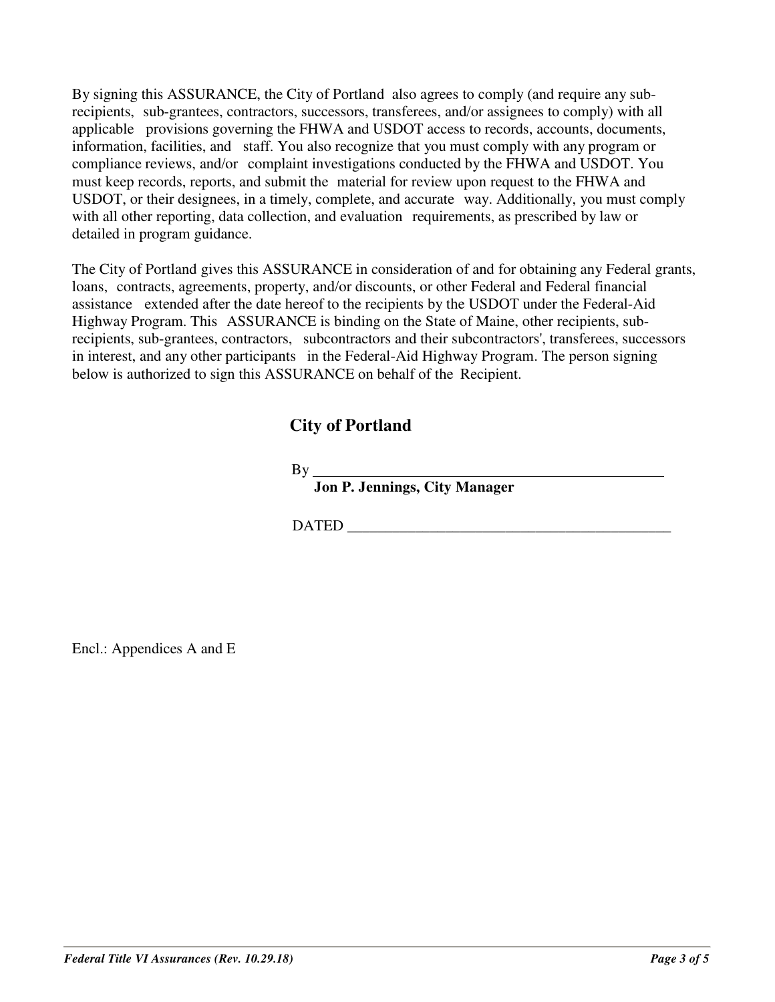By signing this ASSURANCE, the City of Portland also agrees to comply (and require any subrecipients, sub-grantees, contractors, successors, transferees, and/or assignees to comply) with all applicable provisions governing the FHWA and USDOT access to records, accounts, documents, information, facilities, and staff. You also recognize that you must comply with any program or compliance reviews, and/or complaint investigations conducted by the FHWA and USDOT. You must keep records, reports, and submit the material for review upon request to the FHWA and USDOT, or their designees, in a timely, complete, and accurate way. Additionally, you must comply with all other reporting, data collection, and evaluation requirements, as prescribed by law or detailed in program guidance.

The City of Portland gives this ASSURANCE in consideration of and for obtaining any Federal grants, loans, contracts, agreements, property, and/or discounts, or other Federal and Federal financial assistance extended after the date hereof to the recipients by the USDOT under the Federal-Aid Highway Program. This ASSURANCE is binding on the State of Maine, other recipients, subrecipients, sub-grantees, contractors, subcontractors and their subcontractors', transferees, successors in interest, and any other participants in the Federal-Aid Highway Program. The person signing below is authorized to sign this ASSURANCE on behalf of the Recipient.

## **City of Portland**

 $By$ <sub>—</sub>

 **Jon P. Jennings, City Manager** 

DATED  $\Box$ 

Encl.: Appendices A and E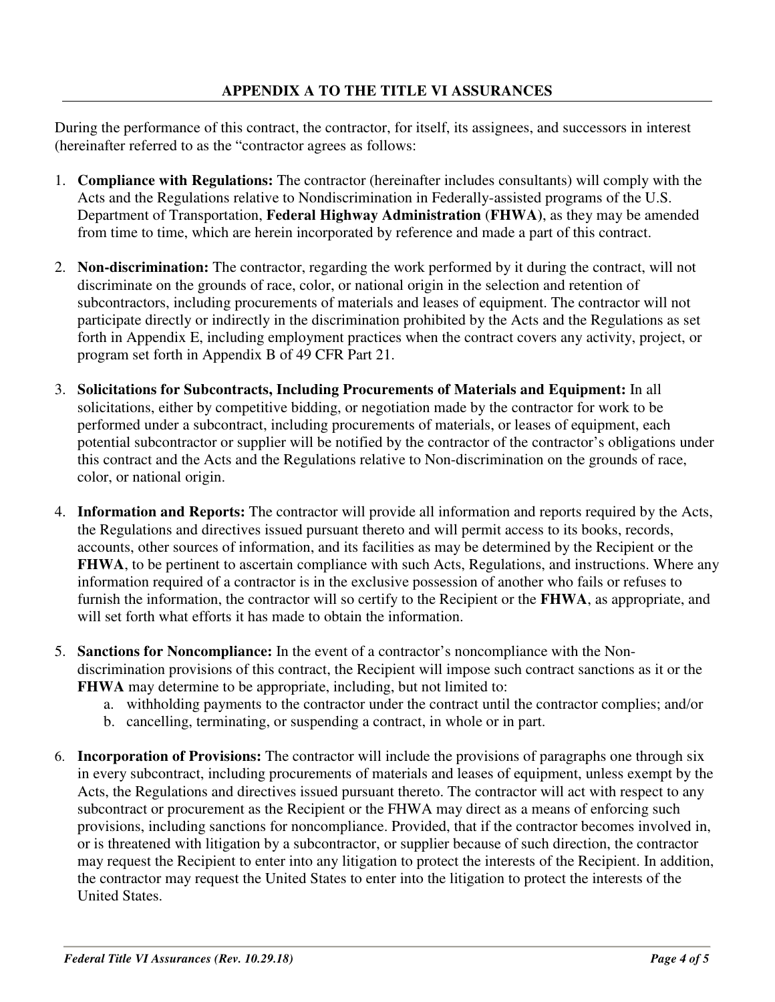During the performance of this contract, the contractor, for itself, its assignees, and successors in interest (hereinafter referred to as the "contractor agrees as follows:

- 1. **Compliance with Regulations:** The contractor (hereinafter includes consultants) will comply with the Acts and the Regulations relative to Nondiscrimination in Federally-assisted programs of the U.S. Department of Transportation, **Federal Highway Administration** (**FHWA)**, as they may be amended from time to time, which are herein incorporated by reference and made a part of this contract.
- 2. **Non-discrimination:** The contractor, regarding the work performed by it during the contract, will not discriminate on the grounds of race, color, or national origin in the selection and retention of subcontractors, including procurements of materials and leases of equipment. The contractor will not participate directly or indirectly in the discrimination prohibited by the Acts and the Regulations as set forth in Appendix E, including employment practices when the contract covers any activity, project, or program set forth in Appendix B of 49 CFR Part 21.
- 3. **Solicitations for Subcontracts, Including Procurements of Materials and Equipment:** In all solicitations, either by competitive bidding, or negotiation made by the contractor for work to be performed under a subcontract, including procurements of materials, or leases of equipment, each potential subcontractor or supplier will be notified by the contractor of the contractor's obligations under this contract and the Acts and the Regulations relative to Non-discrimination on the grounds of race, color, or national origin.
- 4. **Information and Reports:** The contractor will provide all information and reports required by the Acts, the Regulations and directives issued pursuant thereto and will permit access to its books, records, accounts, other sources of information, and its facilities as may be determined by the Recipient or the **FHWA**, to be pertinent to ascertain compliance with such Acts, Regulations, and instructions. Where any information required of a contractor is in the exclusive possession of another who fails or refuses to furnish the information, the contractor will so certify to the Recipient or the **FHWA**, as appropriate, and will set forth what efforts it has made to obtain the information.
- 5. **Sanctions for Noncompliance:** In the event of a contractor's noncompliance with the Nondiscrimination provisions of this contract, the Recipient will impose such contract sanctions as it or the **FHWA** may determine to be appropriate, including, but not limited to:
	- a. withholding payments to the contractor under the contract until the contractor complies; and/or
	- b. cancelling, terminating, or suspending a contract, in whole or in part.
- 6. **Incorporation of Provisions:** The contractor will include the provisions of paragraphs one through six in every subcontract, including procurements of materials and leases of equipment, unless exempt by the Acts, the Regulations and directives issued pursuant thereto. The contractor will act with respect to any subcontract or procurement as the Recipient or the FHWA may direct as a means of enforcing such provisions, including sanctions for noncompliance. Provided, that if the contractor becomes involved in, or is threatened with litigation by a subcontractor, or supplier because of such direction, the contractor may request the Recipient to enter into any litigation to protect the interests of the Recipient. In addition, the contractor may request the United States to enter into the litigation to protect the interests of the United States.